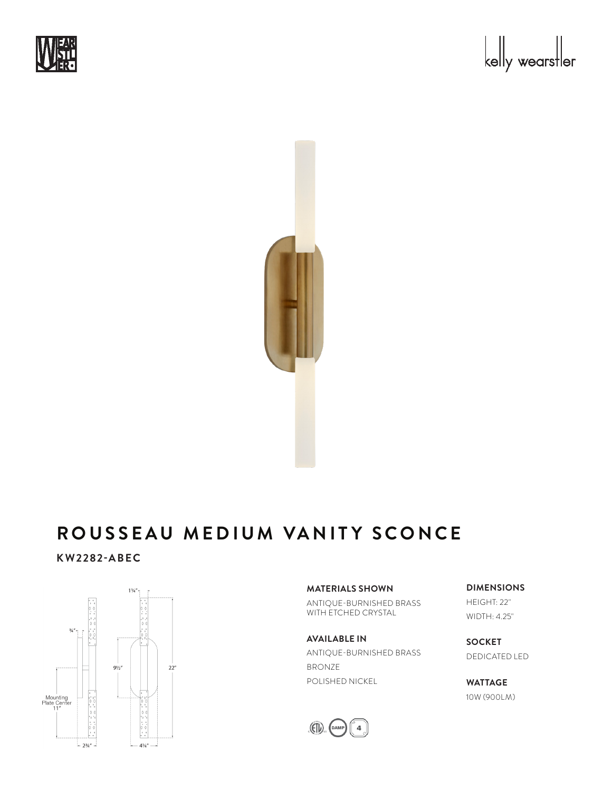





# **KW2282-ABEC**



### **MATERIALS SHOWN**

ANTIQUE-BURNISHED BRASS WITH ETCHED CRYSTAL

**AVAILABLE IN** ANTIQUE-BURNISHED BRASS BRONZE POLISHED NICKEL



**DIMENSIONS** HEIGHT: 22" WIDTH: 4.25"

**SOCKET** DEDICATED LED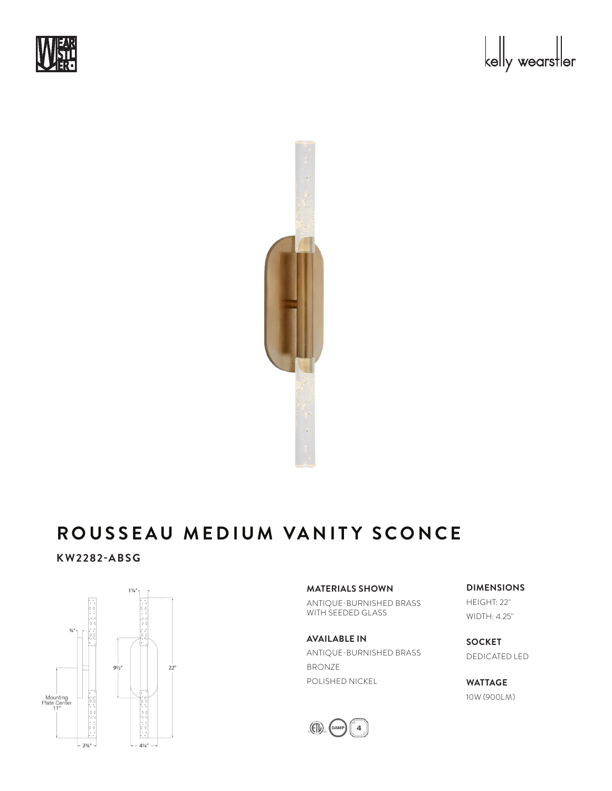





# **KW2282-ABSG**



## **MATERIALS SHOWN**

ANTIQUE-BURNISHED BRASS WITH SEEDED GLASS

# **AVAILABLE IN** ANTIQUE-BURNISHED BRASS BRONZE POLISHED NICKEL



**DIMENSIONS** HEIGHT: 22" WIDTH: 4.25"

**SOCKET** DEDICATED LED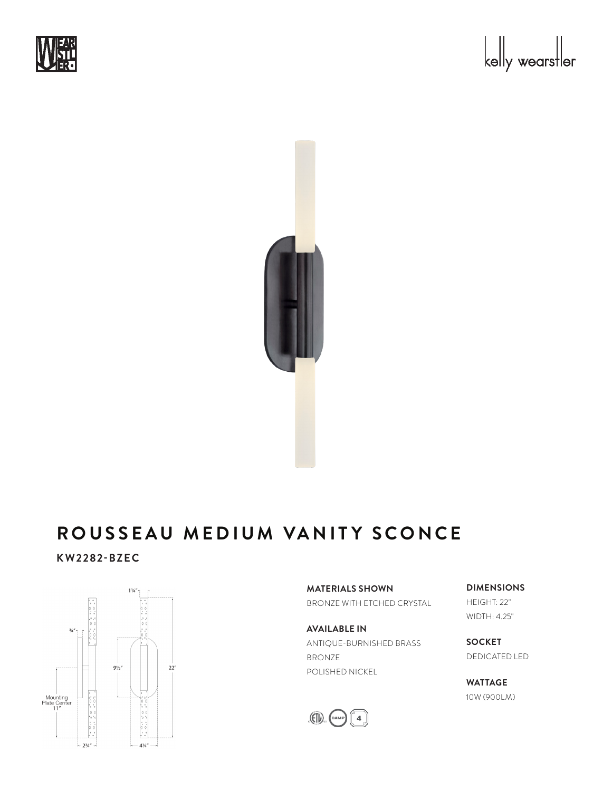





# **KW2282-BZEC**



**MATERIALS SHOWN** BRONZE WITH ETCHED CRYSTAL

**AVAILABLE IN** ANTIQUE-BURNISHED BRASS BRONZE POLISHED NICKEL



**DIMENSIONS** HEIGHT: 22" WIDTH: 4.25"

**SOCKET** DEDICATED LED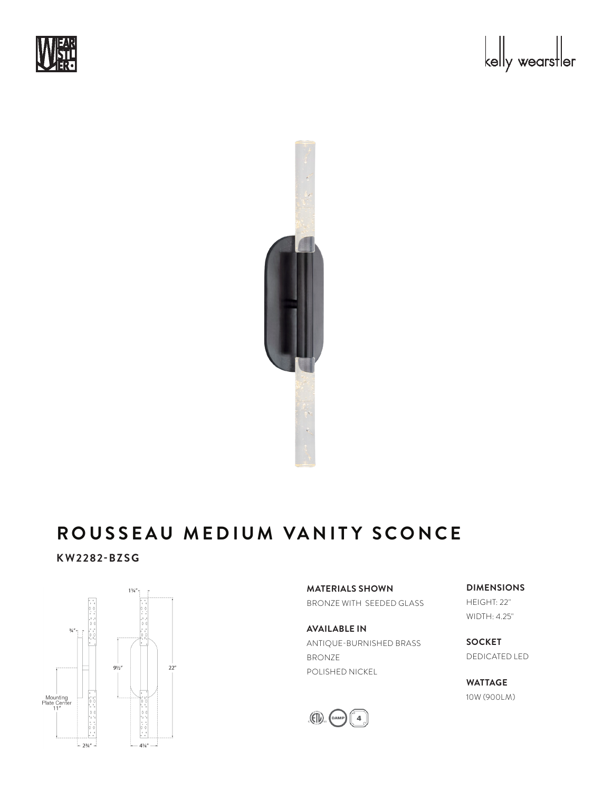





# **KW2282-BZSG**



**MATERIALS SHOWN** BRONZE WITH SEEDED GLASS

**AVAILABLE IN** ANTIQUE-BURNISHED BRASS BRONZE POLISHED NICKEL



**DIMENSIONS** HEIGHT: 22" WIDTH: 4.25"

**SOCKET** DEDICATED LED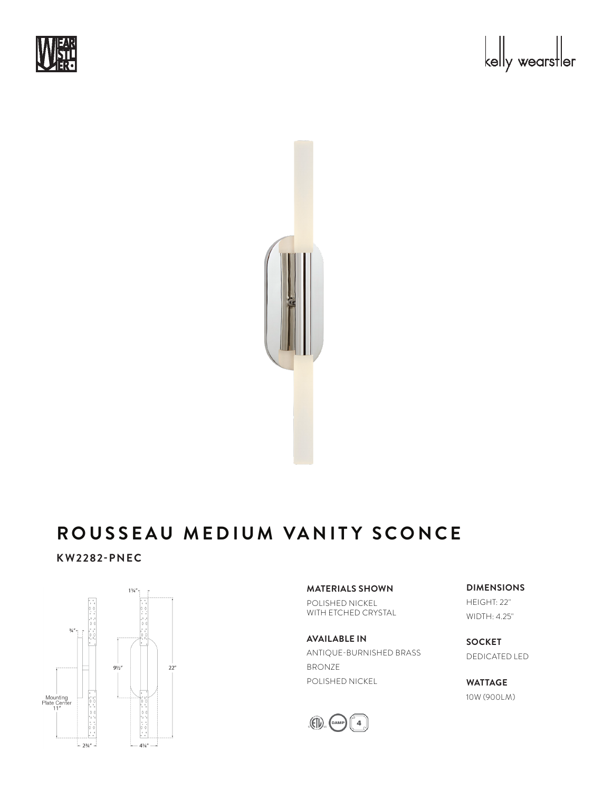





## **KW2282-PNEC**



## **MATERIALS SHOWN**

POLISHED NICKEL WITH ETCHED CRYSTAL

**AVAILABLE IN** ANTIQUE-BURNISHED BRASS BRONZE POLISHED NICKEL



**DIMENSIONS** HEIGHT: 22" WIDTH: 4.25"

**SOCKET** DEDICATED LED